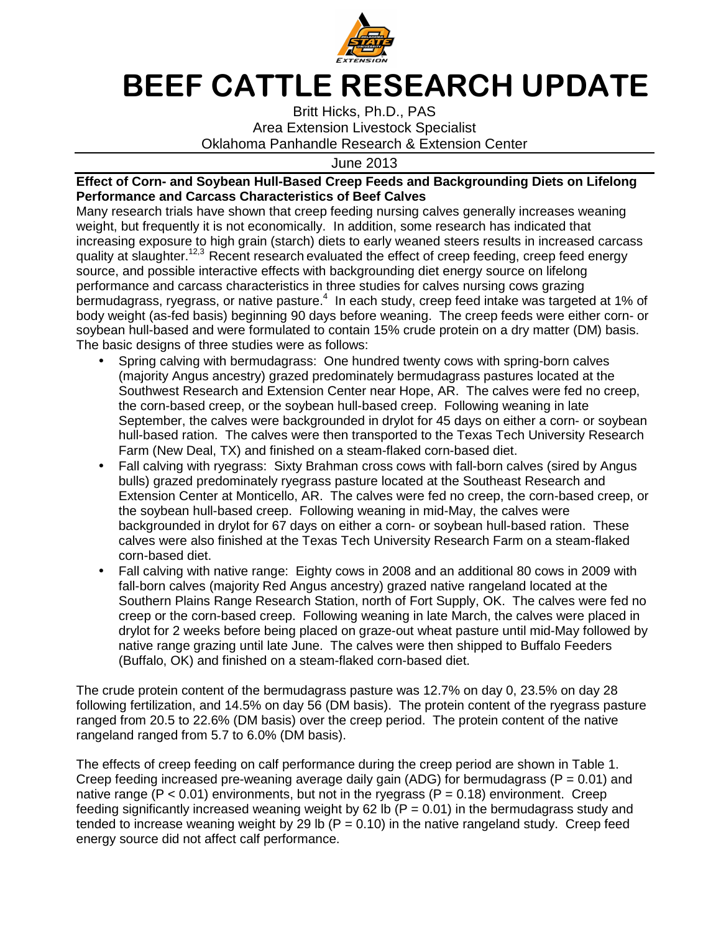

## **BEEF CATTLE RESEARCH UPDATE**

Britt Hicks, Ph.D., PAS Area Extension Livestock Specialist Oklahoma Panhandle Research & Extension Center

June 2013

## **Effect of Corn- and Soybean Hull-Based Creep Feeds and Backgrounding Diets on Lifelong Performance and Carcass Characteristics of Beef Calves**

Many research trials have shown that creep feeding nursing calves generally increases weaning weight, but frequently it is not economically. In addition, some research has indicated that increasing exposure to high grain (starch) diets to early weaned steers results in increased carcass quality at slaughter.<sup>12,3</sup> Recent research evaluated the effect of creep feeding, creep feed energy source, and possible interactive effects with backgrounding diet energy source on lifelong performance and carcass characteristics in three studies for calves nursing cows grazing bermudagrass, ryegrass, or native pasture. $4\,$  In each study, creep feed intake was targeted at 1% of body weight (as-fed basis) beginning 90 days before weaning. The creep feeds were either corn- or soybean hull-based and were formulated to contain 15% crude protein on a dry matter (DM) basis. The basic designs of three studies were as follows:

- Spring calving with bermudagrass: One hundred twenty cows with spring-born calves (majority Angus ancestry) grazed predominately bermudagrass pastures located at the Southwest Research and Extension Center near Hope, AR. The calves were fed no creep, the corn-based creep, or the soybean hull-based creep. Following weaning in late September, the calves were backgrounded in drylot for 45 days on either a corn- or soybean hull-based ration. The calves were then transported to the Texas Tech University Research Farm (New Deal, TX) and finished on a steam-flaked corn-based diet.
- Fall calving with ryegrass: Sixty Brahman cross cows with fall-born calves (sired by Angus bulls) grazed predominately ryegrass pasture located at the Southeast Research and Extension Center at Monticello, AR. The calves were fed no creep, the corn-based creep, or the soybean hull-based creep. Following weaning in mid-May, the calves were backgrounded in drylot for 67 days on either a corn- or soybean hull-based ration. These calves were also finished at the Texas Tech University Research Farm on a steam-flaked corn-based diet.
- Fall calving with native range: Eighty cows in 2008 and an additional 80 cows in 2009 with fall-born calves (majority Red Angus ancestry) grazed native rangeland located at the Southern Plains Range Research Station, north of Fort Supply, OK. The calves were fed no creep or the corn-based creep. Following weaning in late March, the calves were placed in drylot for 2 weeks before being placed on graze-out wheat pasture until mid-May followed by native range grazing until late June. The calves were then shipped to Buffalo Feeders (Buffalo, OK) and finished on a steam-flaked corn-based diet.

The crude protein content of the bermudagrass pasture was 12.7% on day 0, 23.5% on day 28 following fertilization, and 14.5% on day 56 (DM basis). The protein content of the ryegrass pasture ranged from 20.5 to 22.6% (DM basis) over the creep period. The protein content of the native rangeland ranged from 5.7 to 6.0% (DM basis).

The effects of creep feeding on calf performance during the creep period are shown in Table 1. Creep feeding increased pre-weaning average daily gain (ADG) for bermudagrass ( $P = 0.01$ ) and native range ( $P < 0.01$ ) environments, but not in the ryegrass ( $P = 0.18$ ) environment. Creep feeding significantly increased weaning weight by 62 lb  $(P = 0.01)$  in the bermudagrass study and tended to increase weaning weight by 29 lb ( $P = 0.10$ ) in the native rangeland study. Creep feed energy source did not affect calf performance.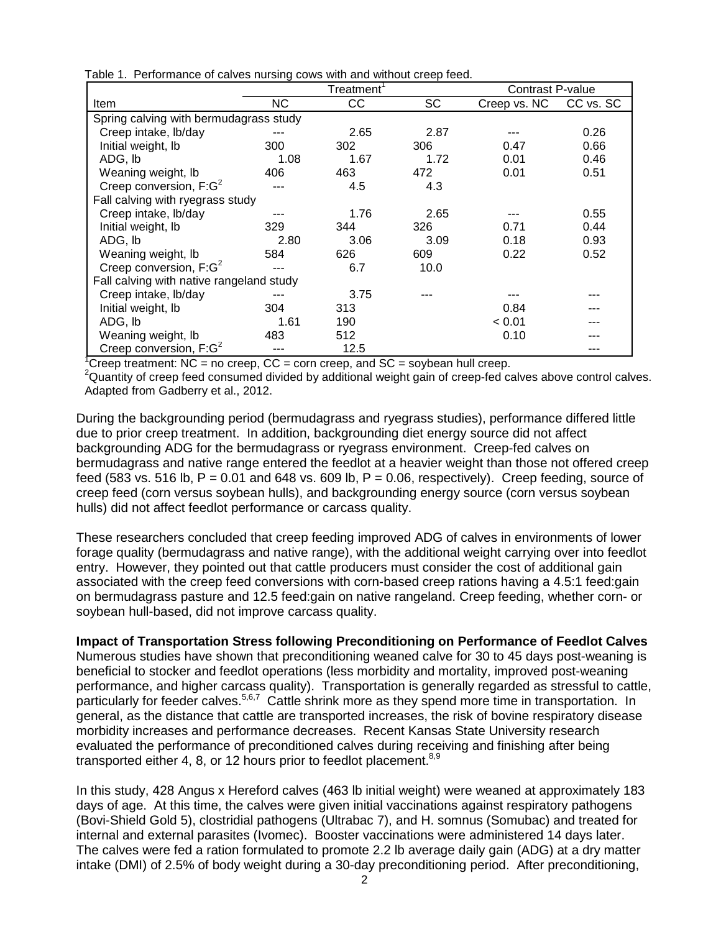| Table 1. Performance of calves nursing cows with and without creep feed. |  |
|--------------------------------------------------------------------------|--|
|--------------------------------------------------------------------------|--|

|                                          | Treatment <sup>'</sup> |      | Contrast P-value |                        |      |  |
|------------------------------------------|------------------------|------|------------------|------------------------|------|--|
| Item                                     | NC.                    | CC   | SC               | Creep vs. NC CC vs. SC |      |  |
| Spring calving with bermudagrass study   |                        |      |                  |                        |      |  |
| Creep intake, lb/day                     |                        | 2.65 | 2.87             |                        | 0.26 |  |
| Initial weight, lb                       | 300                    | 302  | 306              | 0.47                   | 0.66 |  |
| ADG, Ib                                  | 1.08                   | 1.67 | 1.72             | 0.01                   | 0.46 |  |
| Weaning weight, Ib                       | 406                    | 463  | 472              | 0.01                   | 0.51 |  |
| Creep conversion, $F:G^2$                |                        | 4.5  | 4.3              |                        |      |  |
| Fall calving with ryegrass study         |                        |      |                  |                        |      |  |
| Creep intake, lb/day                     |                        | 1.76 | 2.65             |                        | 0.55 |  |
| Initial weight, Ib                       | 329                    | 344  | 326              | 0.71                   | 0.44 |  |
| ADG, Ib                                  | 2.80                   | 3.06 | 3.09             | 0.18                   | 0.93 |  |
| Weaning weight, Ib                       | 584                    | 626  | 609              | 0.22                   | 0.52 |  |
| Creep conversion, $F:G^2$                | ---                    | 6.7  | 10.0             |                        |      |  |
| Fall calving with native rangeland study |                        |      |                  |                        |      |  |
| Creep intake, lb/day                     | ---                    | 3.75 |                  |                        |      |  |
| Initial weight, lb                       | 304                    | 313  |                  | 0.84                   |      |  |
| ADG, Ib                                  | 1.61                   | 190  |                  | < 0.01                 |      |  |
| Weaning weight, Ib                       | 483                    | 512  |                  | 0.10                   |      |  |
| Creep conversion, $F:G^2$                |                        | 12.5 |                  |                        |      |  |

<sup>1</sup>Creep treatment: NC = no creep, CC = corn creep, and SC = soybean hull creep.

<sup>2</sup>Quantity of creep feed consumed divided by additional weight gain of creep-fed calves above control calves. Adapted from Gadberry et al., 2012.

During the backgrounding period (bermudagrass and ryegrass studies), performance differed little due to prior creep treatment. In addition, backgrounding diet energy source did not affect backgrounding ADG for the bermudagrass or ryegrass environment. Creep-fed calves on bermudagrass and native range entered the feedlot at a heavier weight than those not offered creep feed (583 vs. 516 lb,  $P = 0.01$  and 648 vs. 609 lb,  $P = 0.06$ , respectively). Creep feeding, source of creep feed (corn versus soybean hulls), and backgrounding energy source (corn versus soybean hulls) did not affect feedlot performance or carcass quality.

These researchers concluded that creep feeding improved ADG of calves in environments of lower forage quality (bermudagrass and native range), with the additional weight carrying over into feedlot entry. However, they pointed out that cattle producers must consider the cost of additional gain associated with the creep feed conversions with corn-based creep rations having a 4.5:1 feed:gain on bermudagrass pasture and 12.5 feed:gain on native rangeland. Creep feeding, whether corn- or soybean hull-based, did not improve carcass quality.

## **Impact of Transportation Stress following Preconditioning on Performance of Feedlot Calves**

Numerous studies have shown that preconditioning weaned calve for 30 to 45 days post-weaning is beneficial to stocker and feedlot operations (less morbidity and mortality, improved post-weaning performance, and higher carcass quality). Transportation is generally regarded as stressful to cattle, particularly for feeder calves.<sup>5,6,7</sup> Cattle shrink more as they spend more time in transportation. In general, as the distance that cattle are transported increases, the risk of bovine respiratory disease morbidity increases and performance decreases. Recent Kansas State University research evaluated the performance of preconditioned calves during receiving and finishing after being transported either 4, 8, or 12 hours prior to feedlot placement.  $8,9$ 

In this study, 428 Angus x Hereford calves (463 lb initial weight) were weaned at approximately 183 days of age. At this time, the calves were given initial vaccinations against respiratory pathogens (Bovi-Shield Gold 5), clostridial pathogens (Ultrabac 7), and H. somnus (Somubac) and treated for internal and external parasites (Ivomec). Booster vaccinations were administered 14 days later. The calves were fed a ration formulated to promote 2.2 lb average daily gain (ADG) at a dry matter intake (DMI) of 2.5% of body weight during a 30-day preconditioning period. After preconditioning,